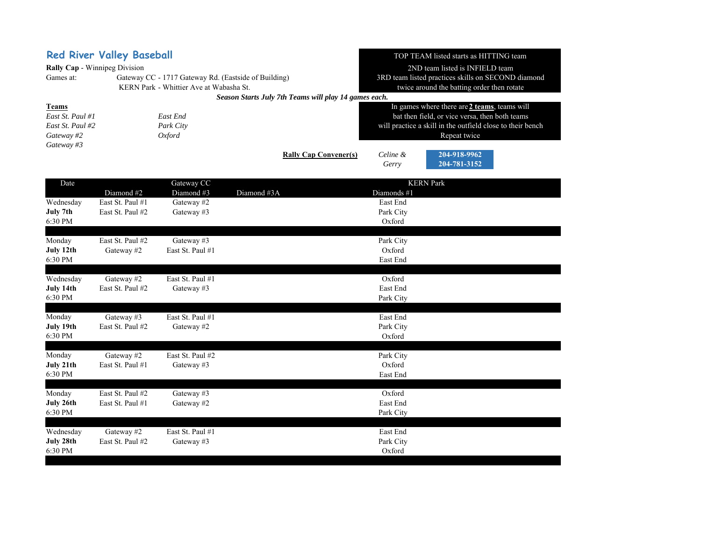|                                                                   | <b>Red River Valley Baseball</b>     |                                         | TOP TEAM listed starts as HITTING team                |                                                    |                                                            |  |
|-------------------------------------------------------------------|--------------------------------------|-----------------------------------------|-------------------------------------------------------|----------------------------------------------------|------------------------------------------------------------|--|
|                                                                   | Rally Cap - Winnipeg Division        |                                         | 2ND team listed is INFIELD team                       |                                                    |                                                            |  |
| Games at:<br>Gateway CC - 1717 Gateway Rd. (Eastside of Building) |                                      |                                         |                                                       | 3RD team listed practices skills on SECOND diamond |                                                            |  |
|                                                                   |                                      | KERN Park - Whittier Ave at Wabasha St. | Season Starts July 7th Teams will play 14 games each. |                                                    | twice around the batting order then rotate                 |  |
| <b>Teams</b>                                                      |                                      |                                         |                                                       | In games where there are 2 teams, teams will       |                                                            |  |
| East St. Paul #1<br>East End                                      |                                      |                                         | bat then field, or vice versa, then both teams        |                                                    |                                                            |  |
| East St. Paul #2                                                  |                                      | Park City                               |                                                       |                                                    | will practice a skill in the outfield close to their bench |  |
| Gateway #2<br><b>Oxford</b>                                       |                                      |                                         |                                                       | Repeat twice                                       |                                                            |  |
| Gateway #3                                                        |                                      |                                         |                                                       |                                                    |                                                            |  |
|                                                                   |                                      |                                         | <b>Rally Cap Convener(s)</b>                          | Celine &<br>Gerry                                  | 204-918-9962<br>204-781-3152                               |  |
| Date                                                              |                                      | Gateway CC                              |                                                       |                                                    | <b>KERN</b> Park                                           |  |
|                                                                   | Diamond #2                           | Diamond #3                              | Diamond #3A                                           | Diamonds #1                                        |                                                            |  |
| Wednesday<br>July 7th                                             | East St. Paul #1<br>East St. Paul #2 | Gateway #2<br>Gateway #3                |                                                       | East End<br>Park City                              |                                                            |  |
| 6:30 PM                                                           |                                      |                                         |                                                       | Oxford                                             |                                                            |  |
|                                                                   |                                      |                                         |                                                       |                                                    |                                                            |  |
| Monday                                                            | East St. Paul #2                     | Gateway #3                              |                                                       | Park City                                          |                                                            |  |
| July 12th                                                         | Gateway #2                           | East St. Paul #1                        |                                                       | Oxford                                             |                                                            |  |
| 6:30 PM                                                           |                                      |                                         |                                                       | East End                                           |                                                            |  |
| Wednesday                                                         | Gateway #2                           | East St. Paul #1                        |                                                       | Oxford                                             |                                                            |  |
| July 14th                                                         | East St. Paul #2                     | Gateway #3                              |                                                       | East End                                           |                                                            |  |
| 6:30 PM                                                           |                                      |                                         |                                                       | Park City                                          |                                                            |  |
|                                                                   |                                      |                                         |                                                       |                                                    |                                                            |  |
| Monday<br>July 19th                                               | Gateway #3<br>East St. Paul #2       | East St. Paul #1<br>Gateway #2          |                                                       | East End<br>Park City                              |                                                            |  |
| 6:30 PM                                                           |                                      |                                         |                                                       | Oxford                                             |                                                            |  |
|                                                                   |                                      |                                         |                                                       |                                                    |                                                            |  |
| Monday                                                            | Gateway #2                           | East St. Paul #2                        |                                                       | Park City                                          |                                                            |  |
| July 21th                                                         | East St. Paul #1                     | Gateway #3                              |                                                       | Oxford                                             |                                                            |  |
| 6:30 PM                                                           |                                      |                                         |                                                       | East End                                           |                                                            |  |
| Monday                                                            | East St. Paul #2                     | Gateway #3                              |                                                       | Oxford                                             |                                                            |  |
| July 26th                                                         | East St. Paul #1                     | Gateway #2                              |                                                       | East End                                           |                                                            |  |
| 6:30 PM                                                           |                                      |                                         |                                                       | Park City                                          |                                                            |  |
|                                                                   |                                      |                                         |                                                       |                                                    |                                                            |  |
| Wednesday<br>July 28th                                            | Gateway #2<br>East St. Paul #2       | East St. Paul #1                        |                                                       | East End                                           |                                                            |  |
| 6:30 PM                                                           |                                      | Gateway #3                              |                                                       | Park City<br>Oxford                                |                                                            |  |
|                                                                   |                                      |                                         |                                                       |                                                    |                                                            |  |